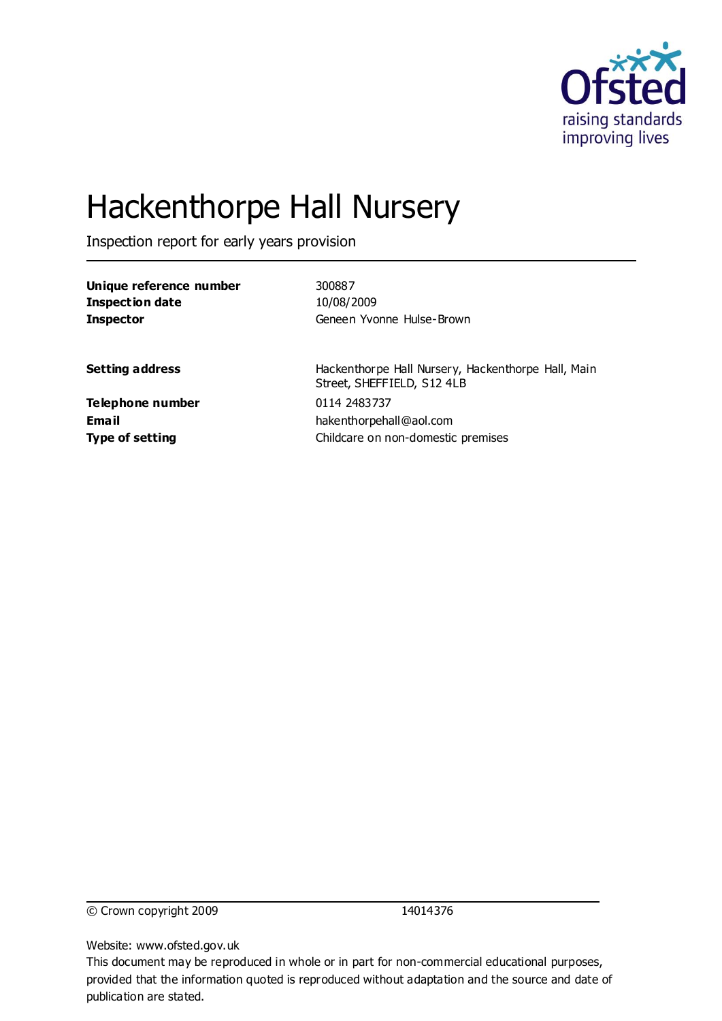

# Hackenthorpe Hall Nursery

Inspection report for early years provision

| Unique reference number | 300887                                                                           |
|-------------------------|----------------------------------------------------------------------------------|
| <b>Inspection date</b>  | 10/08/2009                                                                       |
| <b>Inspector</b>        | Geneen Yvonne Hulse-Brown                                                        |
| <b>Setting address</b>  | Hackenthorpe Hall Nursery, Hackenthorpe Hall, Main<br>Street, SHEFFIELD, S12 4LB |
| Telephone number        | 0114 2483737                                                                     |
| Email                   | hakenthorpehall@aol.com                                                          |
| <b>Type of setting</b>  | Childcare on non-domestic premises                                               |

© Crown copyright 2009 14014376

Website: www.ofsted.gov.uk

This document may be reproduced in whole or in part for non-commercial educational purposes, provided that the information quoted is reproduced without adaptation and the source and date of publication are stated.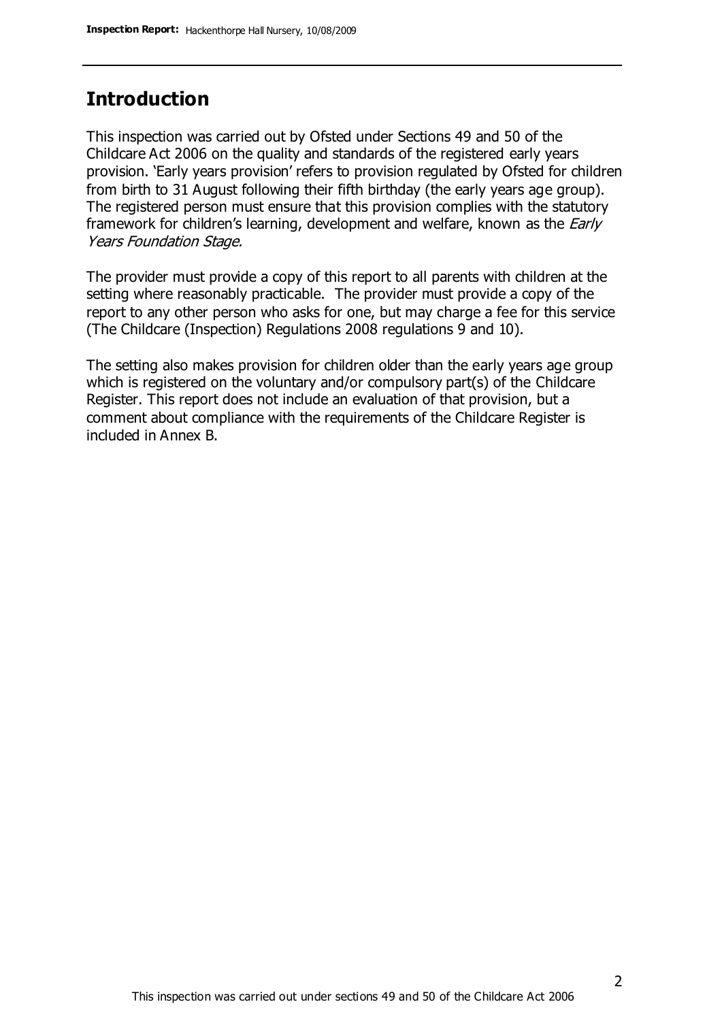### **Introduction**

This inspection was carried out by Ofsted under Sections 49 and 50 of the Childcare Act 2006 on the quality and standards of the registered early years provision. 'Early years provision' refers to provision regulated by Ofsted for children from birth to 31 August following their fifth birthday (the early years age group). The registered person must ensure that this provision complies with the statutory framework for children's learning, development and welfare, known as the *Early* Years Foundation Stage.

The provider must provide a copy of this report to all parents with children at the setting where reasonably practicable. The provider must provide a copy of the report to any other person who asks for one, but may charge a fee for this service (The Childcare (Inspection) Regulations 2008 regulations 9 and 10).

The setting also makes provision for children older than the early years age group which is registered on the voluntary and/or compulsory part(s) of the Childcare Register. This report does not include an evaluation of that provision, but a comment about compliance with the requirements of the Childcare Register is included in Annex B.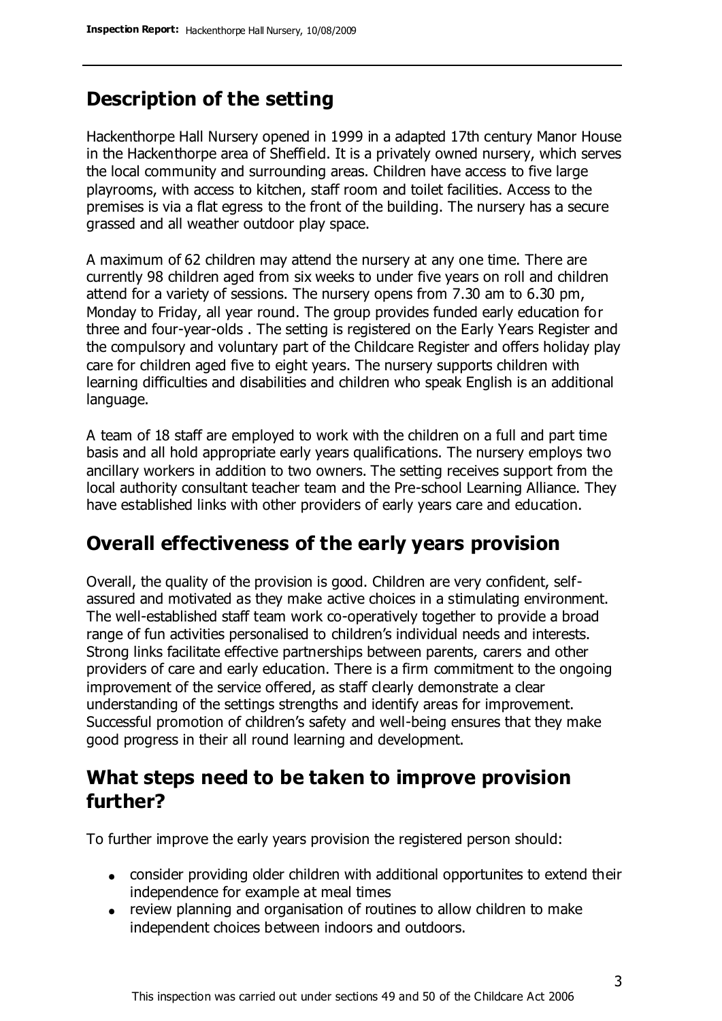### **Description of the setting**

Hackenthorpe Hall Nursery opened in 1999 in a adapted 17th century Manor House in the Hackenthorpe area of Sheffield. It is a privately owned nursery, which serves the local community and surrounding areas. Children have access to five large playrooms, with access to kitchen, staff room and toilet facilities. Access to the premises is via a flat egress to the front of the building. The nursery has a secure grassed and all weather outdoor play space.

A maximum of 62 children may attend the nursery at any one time. There are currently 98 children aged from six weeks to under five years on roll and children attend for a variety of sessions. The nursery opens from 7.30 am to 6.30 pm, Monday to Friday, all year round. The group provides funded early education for three and four-year-olds . The setting is registered on the Early Years Register and the compulsory and voluntary part of the Childcare Register and offers holiday play care for children aged five to eight years. The nursery supports children with learning difficulties and disabilities and children who speak English is an additional language.

A team of 18 staff are employed to work with the children on a full and part time basis and all hold appropriate early years qualifications. The nursery employs two ancillary workers in addition to two owners. The setting receives support from the local authority consultant teacher team and the Pre-school Learning Alliance. They have established links with other providers of early years care and education.

### **Overall effectiveness of the early years provision**

Overall, the quality of the provision is good. Children are very confident, selfassured and motivated as they make active choices in a stimulating environment. The well-established staff team work co-operatively together to provide a broad range of fun activities personalised to children's individual needs and interests. Strong links facilitate effective partnerships between parents, carers and other providers of care and early education. There is a firm commitment to the ongoing improvement of the service offered, as staff clearly demonstrate a clear understanding of the settings strengths and identify areas for improvement. Successful promotion of children's safety and well-being ensures that they make good progress in their all round learning and development.

### **What steps need to be taken to improve provision further?**

To further improve the early years provision the registered person should:

- consider providing older children with additional opportunites to extend their independence for example at meal times
- review planning and organisation of routines to allow children to make independent choices between indoors and outdoors.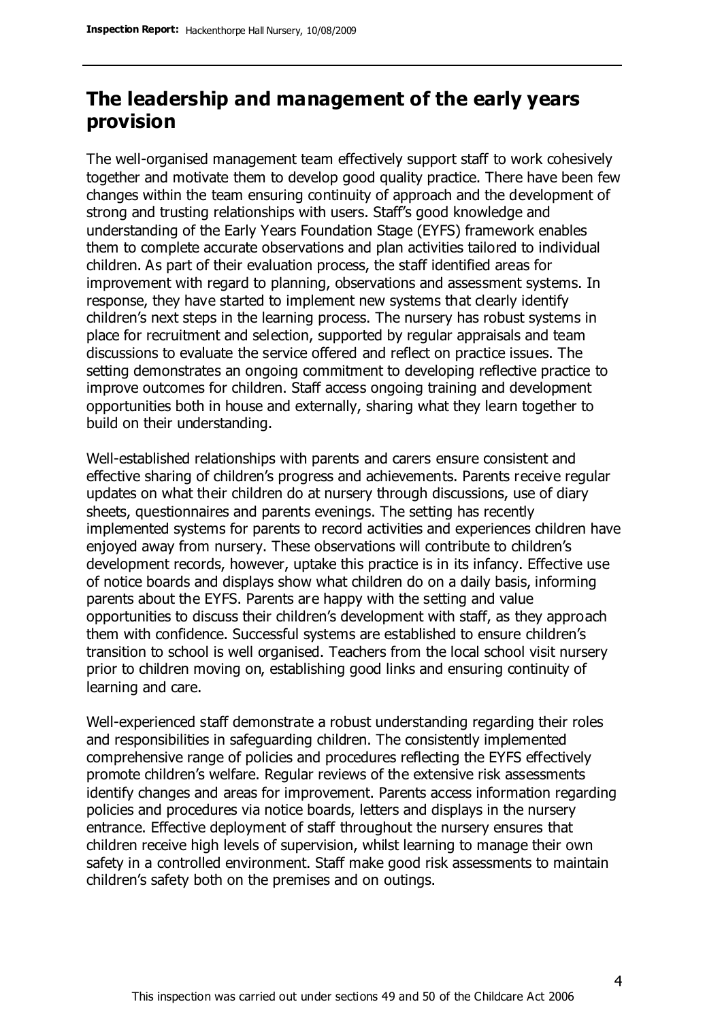### **The leadership and management of the early years provision**

The well-organised management team effectively support staff to work cohesively together and motivate them to develop good quality practice. There have been few changes within the team ensuring continuity of approach and the development of strong and trusting relationships with users. Staff's good knowledge and understanding of the Early Years Foundation Stage (EYFS) framework enables them to complete accurate observations and plan activities tailored to individual children. As part of their evaluation process, the staff identified areas for improvement with regard to planning, observations and assessment systems. In response, they have started to implement new systems that clearly identify children's next steps in the learning process. The nursery has robust systems in place for recruitment and selection, supported by regular appraisals and team discussions to evaluate the service offered and reflect on practice issues. The setting demonstrates an ongoing commitment to developing reflective practice to improve outcomes for children. Staff access ongoing training and development opportunities both in house and externally, sharing what they learn together to build on their understanding.

Well-established relationships with parents and carers ensure consistent and effective sharing of children's progress and achievements. Parents receive regular updates on what their children do at nursery through discussions, use of diary sheets, questionnaires and parents evenings. The setting has recently implemented systems for parents to record activities and experiences children have enjoyed away from nursery. These observations will contribute to children's development records, however, uptake this practice is in its infancy. Effective use of notice boards and displays show what children do on a daily basis, informing parents about the EYFS. Parents are happy with the setting and value opportunities to discuss their children's development with staff, as they approach them with confidence. Successful systems are established to ensure children's transition to school is well organised. Teachers from the local school visit nursery prior to children moving on, establishing good links and ensuring continuity of learning and care.

Well-experienced staff demonstrate a robust understanding regarding their roles and responsibilities in safeguarding children. The consistently implemented comprehensive range of policies and procedures reflecting the EYFS effectively promote children's welfare. Regular reviews of the extensive risk assessments identify changes and areas for improvement. Parents access information regarding policies and procedures via notice boards, letters and displays in the nursery entrance. Effective deployment of staff throughout the nursery ensures that children receive high levels of supervision, whilst learning to manage their own safety in a controlled environment. Staff make good risk assessments to maintain children's safety both on the premises and on outings.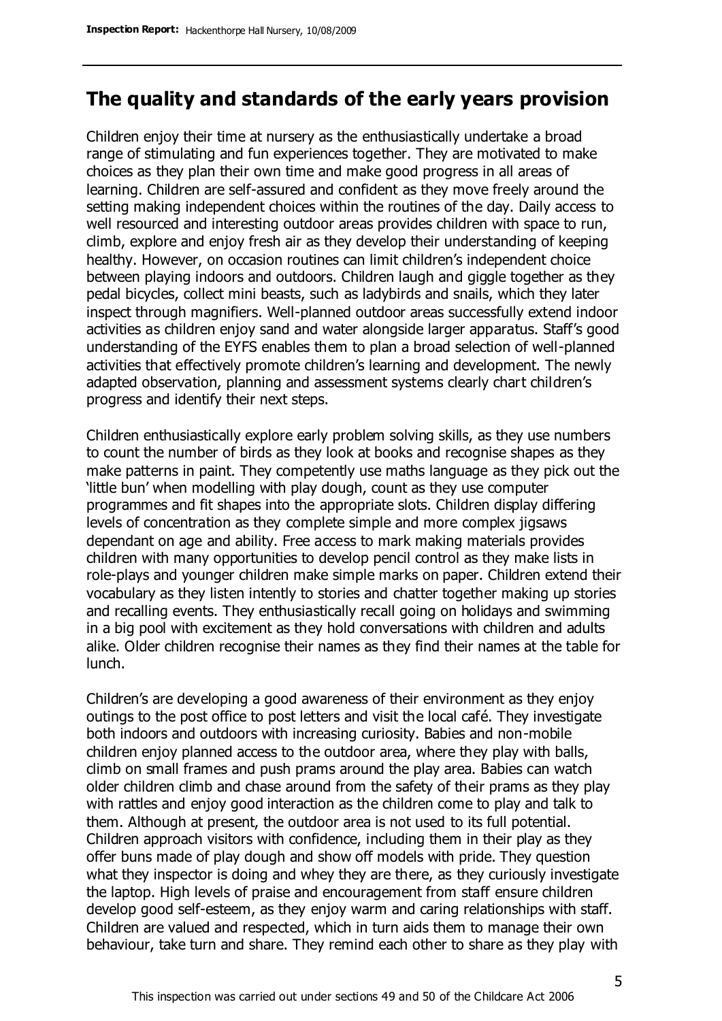### **The quality and standards of the early years provision**

Children enjoy their time at nursery as the enthusiastically undertake a broad range of stimulating and fun experiences together. They are motivated to make choices as they plan their own time and make good progress in all areas of learning. Children are self-assured and confident as they move freely around the setting making independent choices within the routines of the day. Daily access to well resourced and interesting outdoor areas provides children with space to run, climb, explore and enjoy fresh air as they develop their understanding of keeping healthy. However, on occasion routines can limit children's independent choice between playing indoors and outdoors. Children laugh and giggle together as they pedal bicycles, collect mini beasts, such as ladybirds and snails, which they later inspect through magnifiers. Well-planned outdoor areas successfully extend indoor activities as children enjoy sand and water alongside larger apparatus. Staff's good understanding of the EYFS enables them to plan a broad selection of well-planned activities that effectively promote children's learning and development. The newly adapted observation, planning and assessment systems clearly chart children's progress and identify their next steps.

Children enthusiastically explore early problem solving skills, as they use numbers to count the number of birds as they look at books and recognise shapes as they make patterns in paint. They competently use maths language as they pick out the 'little bun' when modelling with play dough, count as they use computer programmes and fit shapes into the appropriate slots. Children display differing levels of concentration as they complete simple and more complex jigsaws dependant on age and ability. Free access to mark making materials provides children with many opportunities to develop pencil control as they make lists in role-plays and younger children make simple marks on paper. Children extend their vocabulary as they listen intently to stories and chatter together making up stories and recalling events. They enthusiastically recall going on holidays and swimming in a big pool with excitement as they hold conversations with children and adults alike. Older children recognise their names as they find their names at the table for lunch.

Children's are developing a good awareness of their environment as they enjoy outings to the post office to post letters and visit the local café. They investigate both indoors and outdoors with increasing curiosity. Babies and non-mobile children enjoy planned access to the outdoor area, where they play with balls, climb on small frames and push prams around the play area. Babies can watch older children climb and chase around from the safety of their prams as they play with rattles and enjoy good interaction as the children come to play and talk to them. Although at present, the outdoor area is not used to its full potential. Children approach visitors with confidence, including them in their play as they offer buns made of play dough and show off models with pride. They question what they inspector is doing and whey they are there, as they curiously investigate the laptop. High levels of praise and encouragement from staff ensure children develop good self-esteem, as they enjoy warm and caring relationships with staff. Children are valued and respected, which in turn aids them to manage their own behaviour, take turn and share. They remind each other to share as they play with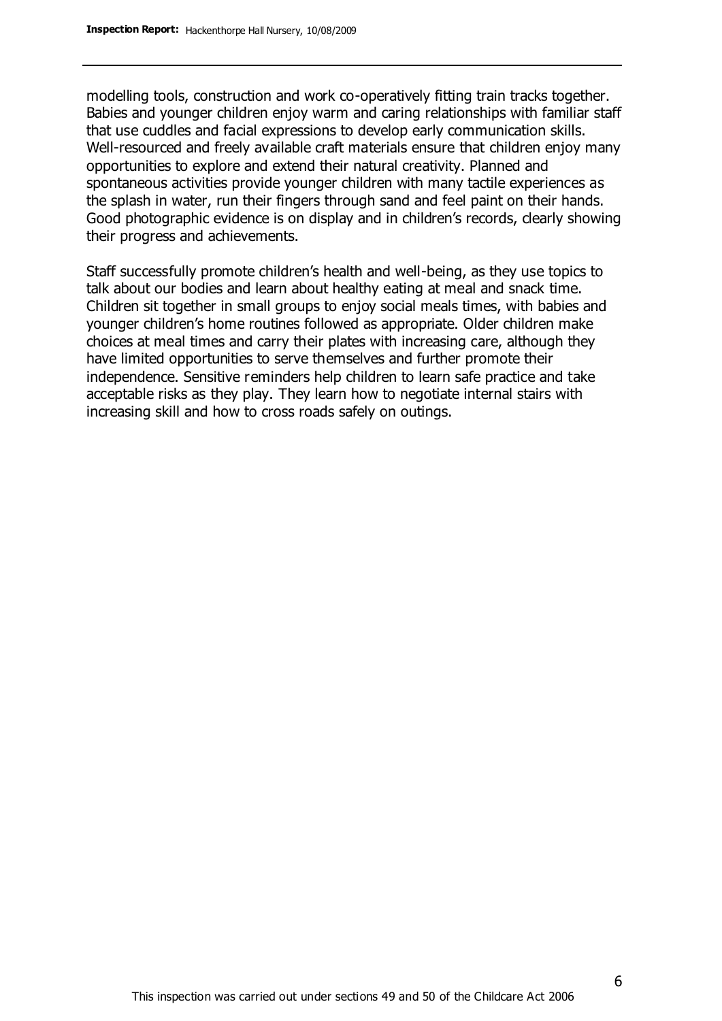modelling tools, construction and work co-operatively fitting train tracks together. Babies and younger children enjoy warm and caring relationships with familiar staff that use cuddles and facial expressions to develop early communication skills. Well-resourced and freely available craft materials ensure that children enjoy many opportunities to explore and extend their natural creativity. Planned and spontaneous activities provide younger children with many tactile experiences as the splash in water, run their fingers through sand and feel paint on their hands. Good photographic evidence is on display and in children's records, clearly showing their progress and achievements.

Staff successfully promote children's health and well-being, as they use topics to talk about our bodies and learn about healthy eating at meal and snack time. Children sit together in small groups to enjoy social meals times, with babies and younger children's home routines followed as appropriate. Older children make choices at meal times and carry their plates with increasing care, although they have limited opportunities to serve themselves and further promote their independence. Sensitive reminders help children to learn safe practice and take acceptable risks as they play. They learn how to negotiate internal stairs with increasing skill and how to cross roads safely on outings.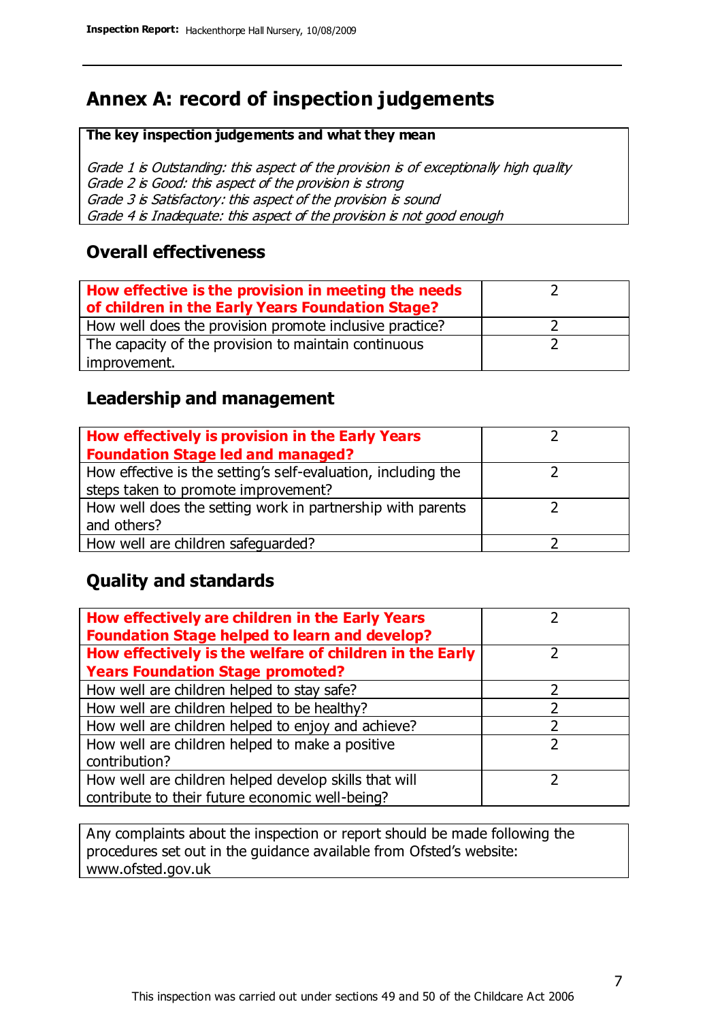### **Annex A: record of inspection judgements**

#### **The key inspection judgements and what they mean**

Grade 1 is Outstanding: this aspect of the provision is of exceptionally high quality Grade 2 is Good: this aspect of the provision is strong Grade 3 is Satisfactory: this aspect of the provision is sound Grade 4 is Inadequate: this aspect of the provision is not good enough

#### **Overall effectiveness**

| How effective is the provision in meeting the needs<br>of children in the Early Years Foundation Stage? |  |
|---------------------------------------------------------------------------------------------------------|--|
| How well does the provision promote inclusive practice?                                                 |  |
| The capacity of the provision to maintain continuous                                                    |  |
| improvement.                                                                                            |  |

### **Leadership and management**

| How effectively is provision in the Early Years               |  |
|---------------------------------------------------------------|--|
| <b>Foundation Stage led and managed?</b>                      |  |
| How effective is the setting's self-evaluation, including the |  |
| steps taken to promote improvement?                           |  |
| How well does the setting work in partnership with parents    |  |
| and others?                                                   |  |
| How well are children safequarded?                            |  |

### **Quality and standards**

| How effectively are children in the Early Years<br><b>Foundation Stage helped to learn and develop?</b> |               |
|---------------------------------------------------------------------------------------------------------|---------------|
| How effectively is the welfare of children in the Early                                                 |               |
| <b>Years Foundation Stage promoted?</b>                                                                 |               |
| How well are children helped to stay safe?                                                              | っ             |
| How well are children helped to be healthy?                                                             |               |
| How well are children helped to enjoy and achieve?                                                      | າ             |
| How well are children helped to make a positive                                                         | $\mathcal{P}$ |
| contribution?                                                                                           |               |
| How well are children helped develop skills that will                                                   |               |
| contribute to their future economic well-being?                                                         |               |

Any complaints about the inspection or report should be made following the procedures set out in the guidance available from Ofsted's website: www.ofsted.gov.uk